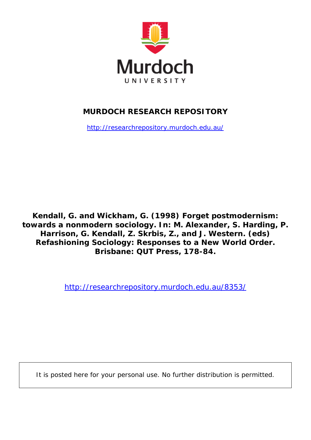

# **MURDOCH RESEARCH REPOSITORY**

<http://researchrepository.murdoch.edu.au/>

**Kendall, G. and Wickham, G. (1998)** *Forget postmodernism: towards a nonmodern sociology.* **In: M. Alexander, S. Harding, P. Harrison, G. Kendall, Z. Skrbis, Z., and J. Western. (eds) Refashioning Sociology: Responses to a New World Order. Brisbane: QUT Press, 178-84.**

<http://researchrepository.murdoch.edu.au/8353/>

It is posted here for your personal use. No further distribution is permitted.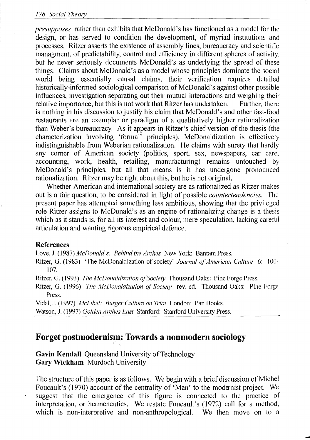*presupposes* rather than exhibits that McDonald's has functioned as a model for the design, or has served to condition the development, of myriad institutions and processes. Ritzer asserts the existence of assembly lines, bureaucracy and scientific managment, of predictability, control and efficiency in different spheres of activity, but he never seriously documents McDonald's as underlying the spread of these things. Claims about McDonald's as a model whose principles dominate the social world being essentially causal claims, their verification requires detailed historically-informed sociological comparison of McDonald's against other possible influences, investigation separating out their mutual interactions and weighing their relative importance, but this is not work that Ritzer has undertaken. Further, there is nothing in his discussion to justify his claim that McDonald's and other fast-food restaurants are an exemplar or paradigm of a qualitatively higher rationalization than Weber's bureaucracy. As it appears in Ritzer's chief version of the thesis (the characterization involving 'formal' principles), McDonaldization is effectively indistinguishable from Weberian rationalization. He claims with surety that hardly any corner of American society (politics, sport, sex, newspapers, car care, accounting, work, health, retailing, manufacturing) remains untouched by McDonald's principles, but all that means is it has undergone pronounced rationalization. Ritzer may be right aboutthis, but he is not original.

Whether American and international society are as rationalized as Ritzer makes out is a fair question, to be considered in light of possible *countertendencies.* The present paper has attempted something less ambitious, showing that the privileged role Ritzer assigns to McDonald's as an engine of rationalizing change is a thesis which as it stands is, for all its interest and colour, mere speculation, lacking careful articulation and wanting rigorous empirical defence.

#### References

Love, 1. (1987) *McDonald's: Behind the Arches* New York: Bantam Press.

Ritzer, O. (1983) 'The McDonaldization of society' *Journal of American Culture* 6: 100- 107.

Ritzer, O. (1993) *The McDonaldization of Society* Thousand Oaks: Pine Forge Press.

Ritzer, G. (1996) *The McDonaldization of Society* rev. ed. Thousand Oaks: Pine Forge Press.

Vidal, 1. (1997) *McLibel: Burger Culture on n'ial* London: Pan Books.

Watson, J. (1997) *Golden Arches East* Stanford: Stanford University Press.

## Forget postmodernism: Towards a nonmodern sociology

Gavin Kendall Queensland University of Technology Gary Wickham Murdoch University

The structure of this paper is as follows. We begin with a brief discussion of Michel Foucault's (1970) account of the centrality of 'Man' to the modernist project. We suggest that the emergence of this figure is connected to the practice of interpretation, or hermeneutics. We restate Foucault's (1972) call for a method, which is non-interpretive and non-anthropological. We then move on to a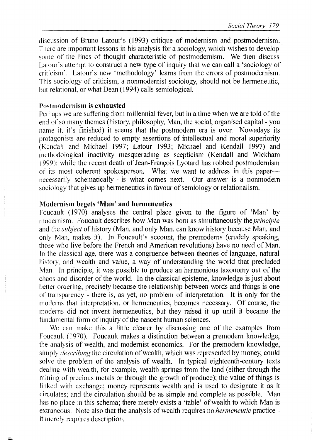discussion of Bruno Latour's (1993) critique of modernism and postmodernism. There are important lessons in his analysis for a sociology, which wishes to develop some of the lines of thought characteristic of postmodernism. We then discuss Latour's attempt to construct a new type of inquiry that we can call a 'sociology of criticism'. Latour's new 'methodology' learns from the errors of postmodernism. This sociology of criticism, a nonmodernist sociology, should not be hermeneutic, but relational, or what Dean (1994) calls semiological.

#### Postmodernism is exhausted

Perhaps we are suffering from millennial fever, but in a time when we are told of the end of so many themes (history, philosophy, Man, the social, organised capital - you name it, it's finished) it seems that the postmodern era is over. Nowadays its protagonists are reduced to empty assertions of intellectual and moral superiority (Kendall and Michael 1997; Latour 1993; Michael and Kendall 1997) and methodological inactivity masquerading as scepticism (Kendall and Wickham 1999); while the recent death of Jean-François Lyotard has robbed postmodernism of its most coherent spokesperson. What we want to address in this papernecessarily schematically—is what comes next. Our answer is a nonmodern sociology that gives up hermeneutics in favour of semiology or relationalism.

#### Modernism begets 'Man' and hermeneutics

Foucault (1970) analyses the central place given to the figure of 'Man' by modernism. Foucault describes how Man was born as simultaneously the *principle*  and the *subject* of history (Man, and only Man, can know history because Man, and only Man, makes it). In Foucault's account, the premoderns (crudely speaking, those who live before the French and American revolutions) have no need of Man. In the classical age, there was a congruence between theories of language, natural history, and wealth and value, a way of understanding the world that precluded Man. In principle, it was possible to produce an harmonious taxonomy out of the chaos and disorder of the world. In the classical episteme, knowledge is just about better ordering, precisely because the relationship between words and things is one of transparency - there is, as yet, no problem of interpretation. It is only for the moderns that interpretation, or hermeneutics, becomes necessary. Of course, the moderns did not invent hermeneutics, but they raised it up until it became the fundamental form of inquiry of the nascent human sciences.

We can make this a little clearer by discussing one of the examples from Foucault (1970). Foucault makes a distinction between a premodern knowledge, the analysis of wealth, and modernist economics. For the premodern knowledge, simply *describing* the circulation of wealth, which was represented by money, could solve the problem of the analysis of wealth. In typical eighteenth-century texts dealing with wealth, for example, wealth springs from the land (either through the mining of precious metals or through the growth of produce); the value of things is linked with exchange; money represents wealth and is used to designate it as it circulates; and the circulation should be as simple and complete as possible. Man has no place in this schema; there merely exists a 'table' of wealth to which Man is extraneous. Note also that the analysis of wealth requires no *hermeneutic* practice it merely requires description.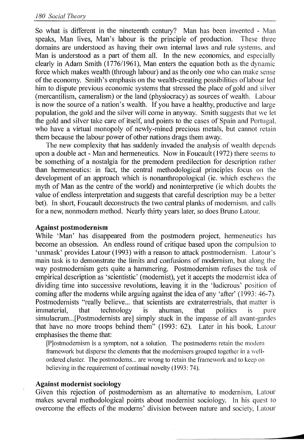So what is different in the nineteenth century? Man has been invented - Man speaks, Man lives, Man's labour is the principle of production. These three domains are understood as having their own internal laws and rule systems. and Man is understood as a part of them all. In the new economics, and especially clearly in Adam Smith ( $1776/1961$ ), Man enters the equation both as the dynamic force which makes wealth (through labour) and as the only one who can make sense of the economy. Smith's emphasis on the wealth-creating possibilities oflabour led him to dispute previous economic systems that stressed the place of gold and silver (mercantilism, cameralism) or the land (physiocracy) as sources of wealth. Labour is now the source of a nation's wealth. If you have a healthy, productive and large population, the gold and the silver will come in anyway. Smith suggests that \ve let the gold and silver take care of itself, and points to the cases of Spain and Portugal. who have a virtual monopoly of newly-mined precious metals, but cannot retain them because the labour power of other nations drags them away.

The new complexity that has suddenly invaded the analysis of wealth depends upon a double act - Man and hermeneutics. Now in Foucault (1972) there seems to be something of a nostalgia for the premodern predilection for description rather than hermeneutics: in fact, the central methodological principles focus on the development of an approach which is nonanthropological (ie. which eschews the myth of Man as the centre of the world) and noninterpretive (ie which doubts the value of endless interpretation and suggests that careful description may be a better bet). In short, Foucault deconstructs the two central planks of modernism, and calls for a new, nonmodern method. Nearly thirty years later, so does Bruno Latour.

#### Against postmodernism

While 'Man' has disappeared from the postmodern project, hermeneutics has become an obsession. An endless round of critique based upon the compulsion to 'unmask' provides Latour (1993) with a reason to attack postmodernism. Latour's main task is to demonstrate the limits and confusions of modernism, but along the way postmodernism gets quite a hammering. Postmodernism refuses the task of empirical description as 'scientistic' (modernist), yet it accepts the modernist idea of dividing time into successive revolutions, leaving it in the 'ludicrous' position of coming after the moderns while arguing against the idea of any 'after' (1993: 46-7). Postmodernists "really believe... that scientists are extraterrestrials, that matter is immaterial, that technology is ahuman, that politics is pure simulacrum ... [Postmodernists are] simply stuck in the impasse of all avant-gardes that have no more troops behind them" (1993: 62). Later in his book, Latour emphasises the theme that:

[P]ostmodernism is a symptom, not a solution. The postmoderns retain the modern framework but disperse the elements that the modernisers grouped together in a wellordered cluster. The postmoderns... are wrong to retain the framework and to keep on believing in the requirement of continual novelty (1993: 74).

#### Against modernist sociology

Given this rejection of postmodernism as an alternative to modernism, Latour makes several methodological points about modernist sociology. In his quest to overcome the effects of the moderns' division between nature and society, Latour

**rn1**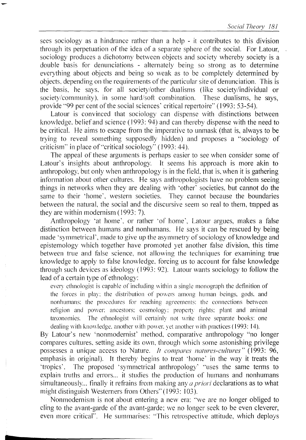sees sociology as a hindrance rather than a help - it contributes to this division through its perpetuation of the idea of a separate sphere of the social. For Latour, sociology produces a dichotomy between objects and society whereby society is a double basis for denunciations - alternately being so strong as to determine everything about objects and being so weak as to be completely determined by objects, depending on the requirements of the particular site of denunciation. This is the basis, he says, for all society/other dualisms (like society/individual or society/community), in some hard/soft combination. These dualisms, he says, provide "99 per cent of the social sciences' critical repertoire" (1993: 53-54).

Latour is convinced that sociology can dispense with distinctions between knowledge, belief and science (1993:  $\frac{94}{4}$ ) and can thereby dispense with the need to be critical. He aims to escape from the imperative to unmask (that is, always to be trying to reveal something supposedly hidden) and proposes a "sociology of criticism" in place of "critical sociology" (1993: 44).

The appeal of these arguments is perhaps easier to see when consider some of Latour's insights about anthropology. It seems his approach is more akin to anthropology, but only when anthropology is in the field, that is, when it is gathering information about other cultures. He says anthropologists have no problem seeing things in networks when they are dealing with 'other' societies, but cannot do the same to their 'home', western societies. They cannot because the boundaries between the natural, the social and the discursive seem so real to them, trapped as they are within modernism (1993: 7).

Anthropology 'at home', or rather 'of home', Latour argues, makes a false distinction between humans and nonhumans. He says it can be rescued by being made 'symmetrical', made to give up the asymmetry of sociology of knowledge and epistemology which together have promoted yet another false division, this time between true and false science, not allowing the techniques for examining true knowledge to apply to false knowledge, forcing us to account for false knowledge through such devices as ideology (1993: 92). Latour wants sociology to follow the lead of a certain type of ethnology:

every ethnologist is capable of including within a single monograph the definition of the forces in play: the distribution of powers among human beings, gods, and nonhumans: the procedures for reaching agreements: the connections between religion and power: ancestors: cosmology: property rights: plant and animal taxonomies. The ethnologist will certainly not write three separate books: one dealing with knowledge, another with power, yet another with practices (1993: 14).

By Latour's new 'nonmodernist' method, comparative anthropology "no longer compares cultures, setting aside its own, through which some astonishing privilege possesses a unique access to Nature. *It compares natures-cultures*" (1993: 96, emphasis in original). It thereby begins to treat 'home' in the way it treats the 'tropics'. The proposed 'symmetrical anthropology' "uses the same terms to explain truths and errors... it studies the production of humans and nonhumans simultaneously... finally it refrains from making any *a priori* declarations as to what might distinguish Westerners from Others" (1993: 103).

Nonmodernism is not about entering a new era: "we are no longer obliged to cling to the avant-garde of the avant-garde; we no longer seek to be even cleverer, even more critical". He summarises: "This retrospective attitude, which deploys

**tr**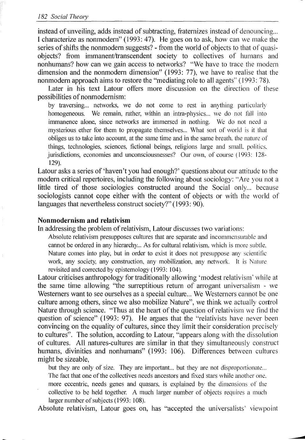#### 182 Social Theory

instead of unveiling, adds instead of subtracting, fraternizes instead of denouncing... I characterize as nonmodern" (1993: 47). He goes on to ask, how can we make the series of shifts the nonmodern suggests? - from the world of objects to that of quasiobjects? from immanent/transcendent society to collectives of humans and nonhumans? how can we gain access to networks? "We have to trace the modern dimension and the nonmodern dimension"  $(1993: 77)$ , we have to realise that the nonmodern approach aims to restore the "mediating role to all agents" (1993: 78).

Later in his text Latour offers more discussion on the direction of these possibilities of nonmodernism:

by traversing... networks, we do not come to rest in anything particularly homogeneous. We remain, rather, within an intra-physics... we do not fall into immanence alone, since networks are immersed in nothing. We do not need a mysterious ether for them to propagate themselves... What sort of world is it that obliges us to take into account, at the same time and in the same breath. the nature of things, technologies, sciences, fictional beings, religions large and small. politics. jurisdictions, economies and unconsciousnesses? Our own, of course (1993: 128-129).

Latour asks a series of 'haven't you had enough?' questions about our attitude to the modern critical repertoires, including the following about sociology: "Are you not a little tired of those sociologies constructed around the Social only... because sociologists cannot cope either with the content of objects or with the world of languages that nevertheless construct society?" (1993: 90).

### **Nonmodernism and relativism**

In addressing the problem of relativism, Latour discusses two variations:

Absolute relativism presupposes cultures that are separate and incommensurable and cannot be ordered in any hierarchy... As for cultural relativism, which is more subtle. Nature comes into play, but in order to exist it does not presuppose any scientitic work, any society, any construction, any mobilization, any network. It is Nature revisited and corrected by epistemology ( 1993: 104).

Latour criticises anthropology for traditionally allowing 'modest relativism' while at the same time allowing "the surreptitious return of arrogant universalism - we Westerners want to see ourselves as a special culture... We Westerners cannot be one culture among others, since we also mobilize Nature", we think we actually control Nature through science. "Thus at the heart of the question of relativism we find the question of science" (1993: 97). He argues that the "relativists have never been convincing on the equality of cultures, since they limit their consideration precisely to cultures". The solution, according to Latour, "appears along with the dissolution of cultures. All natures-cultures are similar in that they simultaneously construct humans, divinities and nonhumans" (1993: 106). Differences between cultures might be sizeable,

but they are only of size. They are important... but they are not disproportionate... The fact that one of the collectives needs ancestors and fixed stars while another one. more eccentric, needs genes and quasars, is explained by the dimensions of the collective to be held together. A much larger number of objects requires a much larger number of subjects (1993: 108).

Absolute relativism, Latour goes on, has "accepted the universalists' viewpoint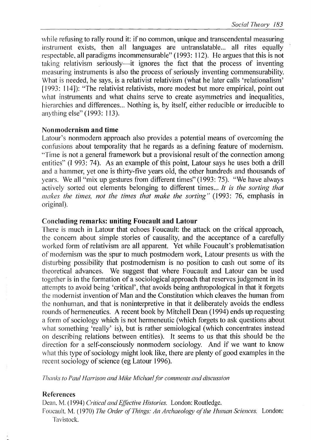while refusing to rally round it: if no common, unique and transcendental measuring instrument exists, then all languages are untranslatable... all rites equally respectable, all paradigms incommensurable" (1993: 112). He argues that this is not taking relativism seriously—it ignores the fact that the process of inventing measuring instruments is also the process of seriously inventing commensurability. What is needed, he says, is a relativist relativism (what he later calls 'relationalism' [1993: 114]): "The relativist relativists, more modest but more empirical, point out what instruments and what chains serve to create asymmetries and inequalities, hierarchies and differences... Nothing is, by itself, either reducible or irreducible to anything else" (1993: 113).

#### Nonmodernism and time

Latour's nonmodern approach also provides a potential means of overcoming the confusions about temporality that he regards as a defining feature of modernism. "Time is not a general framework but a provisional result of the connection among entities" (1 993; 74). As an example of this point, Latour says he uses both a drill and a hammer, yet one is thirty-five years old, the other hundreds and thousands of years. We all "mix up gestures from different times" (1993: 75). "We have always actively sorted out elements belonging to different times... It is the sorting that *makes the times, not the times that make the sorting"* (1993: 76, emphasis in original).

# Concluding remarks: uniting Foucault and Latour

There is much in Latour that echoes Foucault: the attack on the critical approach, the concern about simple stories of causality, and the acceptance of a carefully worked form of relativism are all apparent. Yet while Foucault's problematisation of modernism was the spur to much postmodern work, Latour presents us with the disturbing possibility that postmodernism is no position to cash out some of its theoretical advances. We suggest that where Foucault and Latour can be used together is in the formation of a sociological approach that reserves judgement in its attempts to avoid being 'critical', that avoids being anthropological in that it forgets the modernist invention of Man and the Constitution which cleaves the human from the nonhuman, and that is noninterpretive in that it deliberately avoids the endless rounds of hermeneutics. A recent book by Mitchell Dean (1994) ends up requesting a form of sociology which is not hermeneutic (which forgets to ask questions about what something 'really' is), but is rather semiological (which concentrates instead 011 describing relations between entities). It seems to us that this should be the direction for a self-consciously nonmodern sociology. And if we want to know what this type of sociology might look like, there are plenty of good examples in the recent sociology of science (eg Latour 1996).

*7Inanks to Paul Harrison and Mike Michael for comments and discussion* 

## References

Dean. M. (1994) *Critical and Effective Histories.* London: Routledge.

Foucault, M. (1970) *The Order of Things: An Archaeology of the Human Sciences.* London: Tavistock.